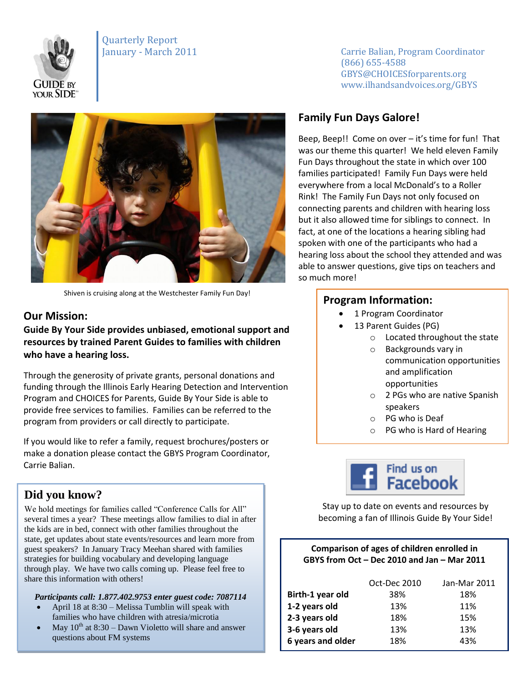

Quarterly Report



Shiven is cruising along at the Westchester Family Fun Day!

## **Our Mission:**

**Guide By Your Side provides unbiased, emotional support and resources by trained Parent Guides to families with children who have a hearing loss.** 

Through the generosity of private grants, personal donations and funding through the Illinois Early Hearing Detection and Intervention Program and CHOICES for Parents, Guide By Your Side is able to provide free services to families. Families can be referred to the program from providers or call directly to participate.

If you would like to refer a family, request brochures/posters or make a donation please contact the GBYS Program Coordinator, Carrie Balian.

## **Did you know?**

We hold meetings for families called "Conference Calls for All" several times a year? These meetings allow families to dial in after the kids are in bed, connect with other families throughout the state, get updates about state events/resources and learn more from guest speakers? In January Tracy Meehan shared with families strategies for building vocabulary and developing language through play. We have two calls coming up. Please feel free to share this information with others!

#### *Participants call: 1.877.402.9753 enter guest code: 7087114*

- April 18 at 8:30 Melissa Tumblin will speak with families who have children with atresia/microtia
- May  $10^{th}$  at  $8:30 -$ Dawn Violetto will share and answer questions about FM systems

January - March 2011 **Carrie Balian, Program Coordinator** (866) 655-4588 GBYS@CHOICESforparents.org www.ilhandsandvoices.org/GBYS

# **Family Fun Days Galore!**

Beep, Beep!! Come on over – it's time for fun! That was our theme this quarter! We held eleven Family Fun Days throughout the state in which over 100 families participated! Family Fun Days were held everywhere from a local McDonald's to a Roller Rink! The Family Fun Days not only focused on connecting parents and children with hearing loss but it also allowed time for siblings to connect. In fact, at one of the locations a hearing sibling had spoken with one of the participants who had a hearing loss about the school they attended and was able to answer questions, give tips on teachers and so much more!

### **Program Information:**

- 1 Program Coordinator
	- 13 Parent Guides (PG)
		- o Located throughout the state
			- o Backgrounds vary in communication opportunities and amplification opportunities
		- o 2 PGs who are native Spanish speakers
		- o PG who is Deaf
		- o PG who is Hard of Hearing



Stay up to date on events and resources by becoming a fan of Illinois Guide By Your Side!

#### **Comparison of ages of children enrolled in GBYS from Oct – Dec 2010 and Jan – Mar 2011**

|                   | Oct-Dec 2010 | Jan-Mar 2011 |
|-------------------|--------------|--------------|
| Birth-1 year old  | 38%          | 18%          |
| 1-2 years old     | 13%          | 11%          |
| 2-3 years old     | 18%          | 15%          |
| 3-6 years old     | 13%          | 13%          |
| 6 years and older | 18%          | 43%          |